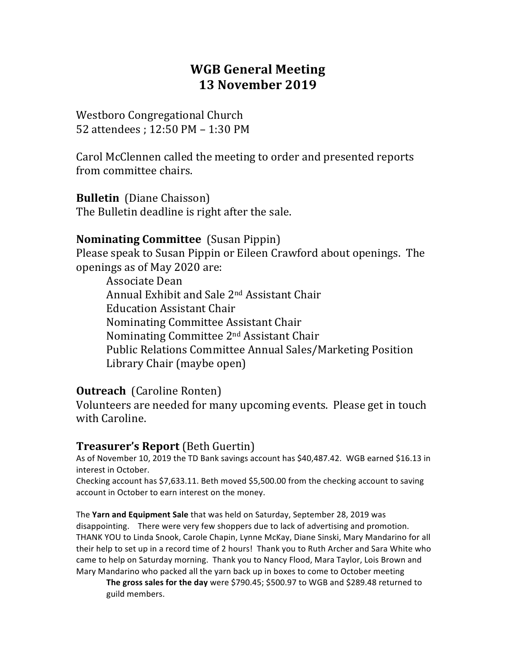## **WGB General Meeting 13 November 2019**

Westboro Congregational Church 52 attendees : 12:50 PM - 1:30 PM

Carol McClennen called the meeting to order and presented reports from committee chairs.

**Bulletin** (Diane Chaisson) The Bulletin deadline is right after the sale.

#### **Nominating Committee** (Susan Pippin)

Please speak to Susan Pippin or Eileen Crawford about openings. The openings as of May 2020 are:

Associate Dean Annual Exhibit and Sale 2<sup>nd</sup> Assistant Chair Education Assistant Chair Nominating Committee Assistant Chair Nominating Committee 2<sup>nd</sup> Assistant Chair Public Relations Committee Annual Sales/Marketing Position Library Chair (maybe open)

#### **Outreach** (Caroline Ronten)

Volunteers are needed for many upcoming events. Please get in touch with Caroline.

#### **Treasurer's Report** (Beth Guertin)

As of November 10, 2019 the TD Bank savings account has \$40,487.42. WGB earned \$16.13 in interest in October.

Checking account has \$7,633.11. Beth moved \$5,500.00 from the checking account to saving account in October to earn interest on the money.

The Yarn and Equipment Sale that was held on Saturday, September 28, 2019 was disappointing. There were very few shoppers due to lack of advertising and promotion. THANK YOU to Linda Snook, Carole Chapin, Lynne McKay, Diane Sinski, Mary Mandarino for all their help to set up in a record time of 2 hours! Thank you to Ruth Archer and Sara White who came to help on Saturday morning. Thank you to Nancy Flood, Mara Taylor, Lois Brown and Mary Mandarino who packed all the yarn back up in boxes to come to October meeting

**The gross sales for the day** were \$790.45; \$500.97 to WGB and \$289.48 returned to guild members.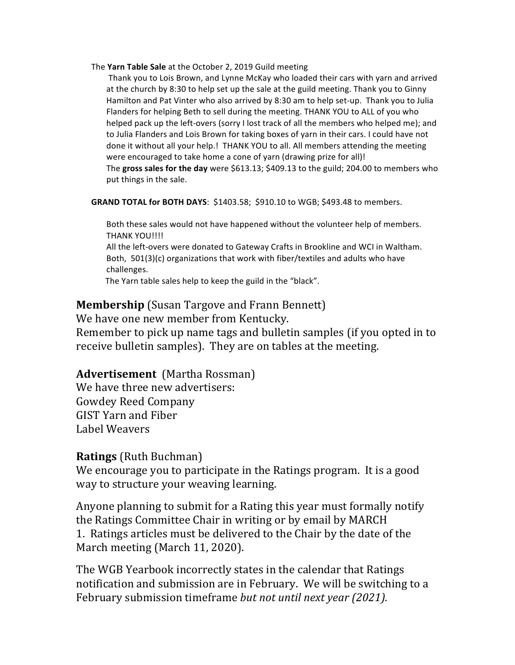The Yarn Table Sale at the October 2, 2019 Guild meeting

Thank you to Lois Brown, and Lynne McKay who loaded their cars with yarn and arrived at the church by 8:30 to help set up the sale at the guild meeting. Thank you to Ginny Hamilton and Pat Vinter who also arrived by 8:30 am to help set-up. Thank you to Julia Flanders for helping Beth to sell during the meeting. THANK YOU to ALL of you who helped pack up the left-overs (sorry I lost track of all the members who helped me); and to Julia Flanders and Lois Brown for taking boxes of yarn in their cars. I could have not done it without all your help.! THANK YOU to all. All members attending the meeting were encouraged to take home a cone of yarn (drawing prize for all)! The gross sales for the day were \$613.13; \$409.13 to the guild; 204.00 to members who put things in the sale.

**GRAND TOTAL for BOTH DAYS: \$1403.58; \$910.10 to WGB; \$493.48 to members.** 

Both these sales would not have happened without the volunteer help of members. THANK YOU!!!!

All the left-overs were donated to Gateway Crafts in Brookline and WCI in Waltham. Both,  $501(3)(c)$  organizations that work with fiber/textiles and adults who have challenges.

The Yarn table sales help to keep the guild in the "black".

#### **Membership** (Susan Targove and Frann Bennett)

We have one new member from Kentucky.

Remember to pick up name tags and bulletin samples (if you opted in to receive bulletin samples). They are on tables at the meeting.

#### **Advertisement** (Martha Rossman)

We have three new advertisers: Gowdey Reed Company GIST Yarn and Fiber Label Weavers

#### **Ratings** (Ruth Buchman)

We encourage you to participate in the Ratings program. It is a good way to structure your weaving learning.

Anyone planning to submit for a Rating this year must formally notify the Ratings Committee Chair in writing or by email by MARCH 1. Ratings articles must be delivered to the Chair by the date of the March meeting (March 11, 2020).

The WGB Yearbook incorrectly states in the calendar that Ratings notification and submission are in February. We will be switching to a February submission timeframe *but not until next year (2021).*